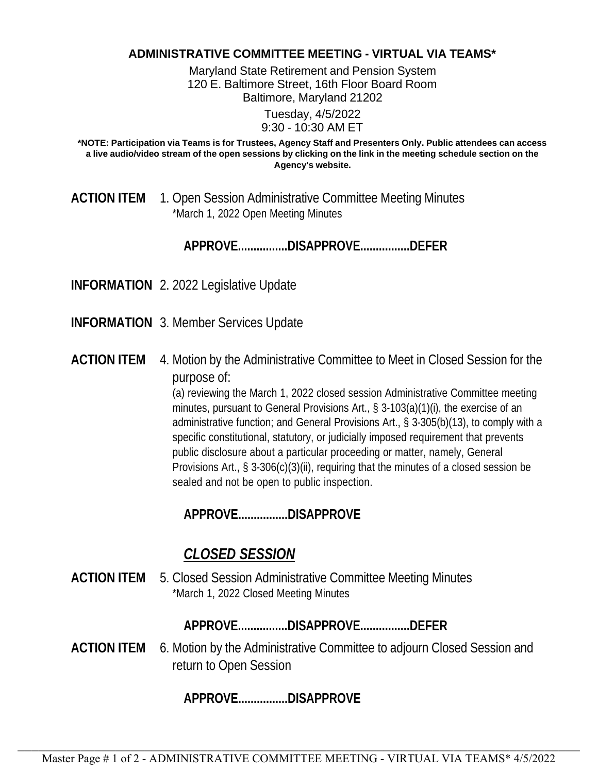## **ADMINISTRATIVE COMMITTEE MEETING - VIRTUAL VIA TEAMS\***

Maryland State Retirement and Pension System 120 E. Baltimore Street, 16th Floor Board Room Baltimore, Maryland 21202

> Tuesday, 4/5/2022 9:30 - 10:30 AM ET

**\*NOTE: Participation via Teams is for Trustees, Agency Staff and Presenters Only. Public attendees can access a live audio/video stream of the open sessions by clicking on the link in the meeting schedule section on the Agency's website.**

**ACTION ITEM** 1. Open Session Administrative Committee Meeting Minutes \*March 1, 2022 Open Meeting Minutes

**APPROVE................DISAPPROVE................DEFER**

**INFORMATION** 2. 2022 Legislative Update

**INFORMATION** 3. Member Services Update

**ACTION ITEM** 4. Motion by the Administrative Committee to Meet in Closed Session for the purpose of:

> (a) reviewing the March 1, 2022 closed session Administrative Committee meeting minutes, pursuant to General Provisions Art., § 3-103(a)(1)(i), the exercise of an administrative function; and General Provisions Art., § 3-305(b)(13), to comply with a specific constitutional, statutory, or judicially imposed requirement that prevents public disclosure about a particular proceeding or matter, namely, General Provisions Art., § 3-306(c)(3)(ii), requiring that the minutes of a closed session be sealed and not be open to public inspection.

**APPROVE................DISAPPROVE**

## *CLOSED SESSION*

**ACTION ITEM** 5. Closed Session Administrative Committee Meeting Minutes \*March 1, 2022 Closed Meeting Minutes

**APPROVE................DISAPPROVE................DEFER**

**ACTION ITEM** 6. Motion by the Administrative Committee to adjourn Closed Session and return to Open Session

**APPROVE................DISAPPROVE**